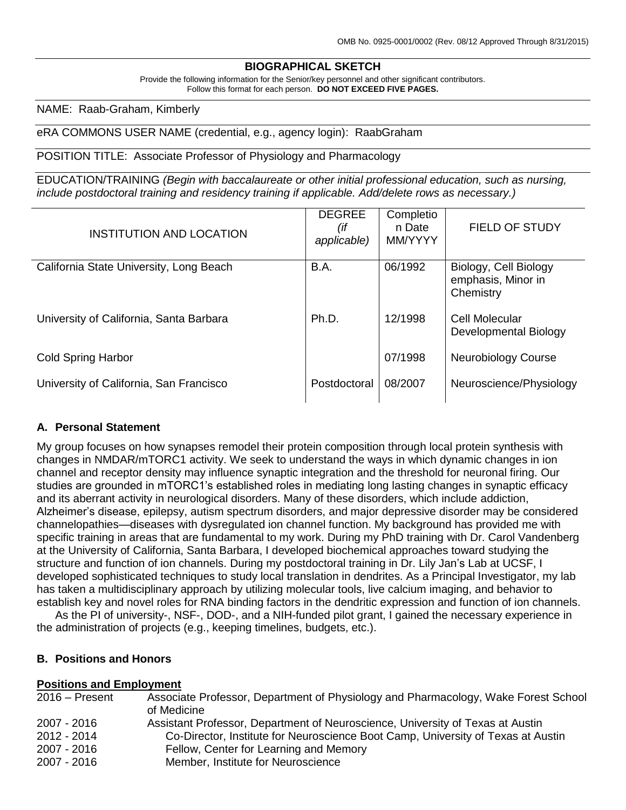# **BIOGRAPHICAL SKETCH**

Provide the following information for the Senior/key personnel and other significant contributors. Follow this format for each person. **DO NOT EXCEED FIVE PAGES.**

NAME: Raab-Graham, Kimberly

#### eRA COMMONS USER NAME (credential, e.g., agency login): RaabGraham

#### POSITION TITLE: Associate Professor of Physiology and Pharmacology

EDUCATION/TRAINING *(Begin with baccalaureate or other initial professional education, such as nursing, include postdoctoral training and residency training if applicable. Add/delete rows as necessary.)*

| INSTITUTION AND LOCATION                | <b>DEGREE</b><br>(if<br>applicable) | Completio<br>n Date<br>MM/YYYY | <b>FIELD OF STUDY</b>                                    |
|-----------------------------------------|-------------------------------------|--------------------------------|----------------------------------------------------------|
| California State University, Long Beach | B.A.                                | 06/1992                        | Biology, Cell Biology<br>emphasis, Minor in<br>Chemistry |
| University of California, Santa Barbara | Ph.D.                               | 12/1998                        | Cell Molecular<br>Developmental Biology                  |
| <b>Cold Spring Harbor</b>               |                                     | 07/1998                        | <b>Neurobiology Course</b>                               |
| University of California, San Francisco | Postdoctoral                        | 08/2007                        | Neuroscience/Physiology                                  |

#### **A. Personal Statement**

My group focuses on how synapses remodel their protein composition through local protein synthesis with changes in NMDAR/mTORC1 activity. We seek to understand the ways in which dynamic changes in ion channel and receptor density may influence synaptic integration and the threshold for neuronal firing. Our studies are grounded in mTORC1's established roles in mediating long lasting changes in synaptic efficacy and its aberrant activity in neurological disorders. Many of these disorders, which include addiction, Alzheimer's disease, epilepsy, autism spectrum disorders, and major depressive disorder may be considered channelopathies—diseases with dysregulated ion channel function. My background has provided me with specific training in areas that are fundamental to my work. During my PhD training with Dr. Carol Vandenberg at the University of California, Santa Barbara, I developed biochemical approaches toward studying the structure and function of ion channels. During my postdoctoral training in Dr. Lily Jan's Lab at UCSF, I developed sophisticated techniques to study local translation in dendrites. As a Principal Investigator, my lab has taken a multidisciplinary approach by utilizing molecular tools, live calcium imaging, and behavior to establish key and novel roles for RNA binding factors in the dendritic expression and function of ion channels.

As the PI of university-, NSF-, DOD-, and a NIH-funded pilot grant, I gained the necessary experience in the administration of projects (e.g., keeping timelines, budgets, etc.).

#### **B. Positions and Honors**

#### **Positions and Employment**

| $2016 -$ Present | Associate Professor, Department of Physiology and Pharmacology, Wake Forest School<br>of Medicine |
|------------------|---------------------------------------------------------------------------------------------------|
| 2007 - 2016      | Assistant Professor, Department of Neuroscience, University of Texas at Austin                    |
| 2012 - 2014      | Co-Director, Institute for Neuroscience Boot Camp, University of Texas at Austin                  |
| 2007 - 2016      | Fellow, Center for Learning and Memory                                                            |
| 2007 - 2016      | Member, Institute for Neuroscience                                                                |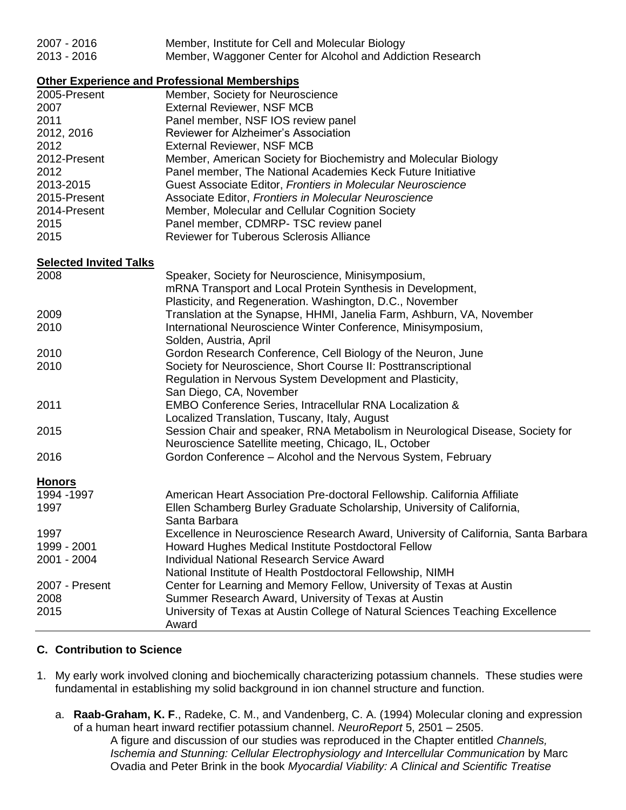| 2007 - 2016 | Member, Institute for Cell and Molecular Biology           |
|-------------|------------------------------------------------------------|
| 2013 - 2016 | Member, Waggoner Center for Alcohol and Addiction Research |

# **Other Experience and Professional Memberships**

|                               | <u>Uther Experience and Frenceshonal Monnecromps</u>                                                                                                                        |
|-------------------------------|-----------------------------------------------------------------------------------------------------------------------------------------------------------------------------|
| 2005-Present                  | Member, Society for Neuroscience                                                                                                                                            |
| 2007                          | <b>External Reviewer, NSF MCB</b>                                                                                                                                           |
| 2011                          | Panel member, NSF IOS review panel                                                                                                                                          |
| 2012, 2016                    | Reviewer for Alzheimer's Association                                                                                                                                        |
| 2012                          | <b>External Reviewer, NSF MCB</b>                                                                                                                                           |
| 2012-Present                  | Member, American Society for Biochemistry and Molecular Biology                                                                                                             |
| 2012                          | Panel member, The National Academies Keck Future Initiative                                                                                                                 |
| 2013-2015                     | Guest Associate Editor, Frontiers in Molecular Neuroscience                                                                                                                 |
| 2015-Present                  | Associate Editor, Frontiers in Molecular Neuroscience                                                                                                                       |
| 2014-Present                  | Member, Molecular and Cellular Cognition Society                                                                                                                            |
| 2015                          | Panel member, CDMRP-TSC review panel                                                                                                                                        |
| 2015                          | <b>Reviewer for Tuberous Sclerosis Alliance</b>                                                                                                                             |
| <b>Selected Invited Talks</b> |                                                                                                                                                                             |
| 2008                          | Speaker, Society for Neuroscience, Minisymposium,<br>mRNA Transport and Local Protein Synthesis in Development,<br>Plasticity, and Regeneration. Washington, D.C., November |
| 2009                          | Translation at the Synapse, HHMI, Janelia Farm, Ashburn, VA, November                                                                                                       |
| 2010                          | International Neuroscience Winter Conference, Minisymposium,<br>Solden, Austria, April                                                                                      |
| 2010                          | Gordon Research Conference, Cell Biology of the Neuron, June                                                                                                                |
| 2010                          | Society for Neuroscience, Short Course II: Posttranscriptional<br>Regulation in Nervous System Development and Plasticity,<br>San Diego, CA, November                       |
| 2011                          | <b>EMBO Conference Series, Intracellular RNA Localization &amp;</b><br>Localized Translation, Tuscany, Italy, August                                                        |
| 2015                          | Session Chair and speaker, RNA Metabolism in Neurological Disease, Society for<br>Neuroscience Satellite meeting, Chicago, IL, October                                      |
| 2016                          | Gordon Conference - Alcohol and the Nervous System, February                                                                                                                |
| <b>Honors</b>                 |                                                                                                                                                                             |

| 1994 - 1997    | American Heart Association Pre-doctoral Fellowship. California Affiliate           |
|----------------|------------------------------------------------------------------------------------|
| 1997           | Ellen Schamberg Burley Graduate Scholarship, University of California,             |
|                | Santa Barbara                                                                      |
| 1997           | Excellence in Neuroscience Research Award, University of California, Santa Barbara |
| 1999 - 2001    | Howard Hughes Medical Institute Postdoctoral Fellow                                |
| 2001 - 2004    | <b>Individual National Research Service Award</b>                                  |
|                | National Institute of Health Postdoctoral Fellowship, NIMH                         |
| 2007 - Present | Center for Learning and Memory Fellow, University of Texas at Austin               |
| 2008           | Summer Research Award, University of Texas at Austin                               |
| 2015           | University of Texas at Austin College of Natural Sciences Teaching Excellence      |
|                | Award                                                                              |

# **C. Contribution to Science**

- 1. My early work involved cloning and biochemically characterizing potassium channels. These studies were fundamental in establishing my solid background in ion channel structure and function.
	- a. **Raab-Graham, K. F**., Radeke, C. M., and Vandenberg, C. A. (1994) Molecular cloning and expression of a human heart inward rectifier potassium channel. *NeuroReport* 5, 2501 – 2505. A figure and discussion of our studies was reproduced in the Chapter entitled *Channels, Ischemia and Stunning: Cellular Electrophysiology and Intercellular Communication* by Marc Ovadia and Peter Brink in the book *Myocardial Viability: A Clinical and Scientific Treatise*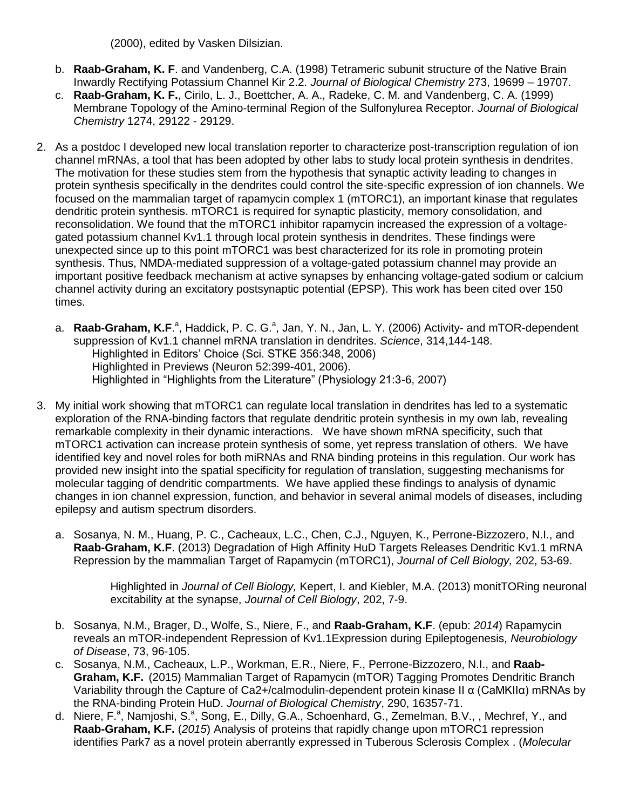(2000), edited by Vasken Dilsizian.

- b. **Raab-Graham, K. F**. and Vandenberg, C.A. (1998) Tetrameric subunit structure of the Native Brain Inwardly Rectifying Potassium Channel Kir 2.2. *Journal of Biological Chemistry* 273, 19699 – 19707.
- c. **Raab-Graham, K. F.**, Cirilo, L. J., Boettcher, A. A., Radeke, C. M. and Vandenberg, C. A. (1999) Membrane Topology of the Amino-terminal Region of the Sulfonylurea Receptor. *Journal of Biological Chemistry* 1274, 29122 - 29129.
- 2. As a postdoc I developed new local translation reporter to characterize post-transcription regulation of ion channel mRNAs, a tool that has been adopted by other labs to study local protein synthesis in dendrites. The motivation for these studies stem from the hypothesis that synaptic activity leading to changes in protein synthesis specifically in the dendrites could control the site-specific expression of ion channels. We focused on the mammalian target of rapamycin complex 1 (mTORC1), an important kinase that regulates dendritic protein synthesis. mTORC1 is required for synaptic plasticity, memory consolidation, and reconsolidation. We found that the mTORC1 inhibitor rapamycin increased the expression of a voltagegated potassium channel Kv1.1 through local protein synthesis in dendrites. These findings were unexpected since up to this point mTORC1 was best characterized for its role in promoting protein synthesis. Thus, NMDA-mediated suppression of a voltage-gated potassium channel may provide an important positive feedback mechanism at active synapses by enhancing voltage-gated sodium or calcium channel activity during an excitatory postsynaptic potential (EPSP). This work has been cited over 150 times.
	- a. Raab-Graham, K.F.<sup>a</sup>, Haddick, P. C. G.<sup>a</sup>, Jan, Y. N., Jan, L. Y. (2006) Activity- and mTOR-dependent [suppression of Kv1.1 channel mRNA translation in dendrites.](http://www.ncbi.nlm.nih.gov/pubmed/17023663) *Science*, 314,144-148. Highlighted in Editors' Choice (Sci. STKE 356:348, 2006) Highlighted in Previews (Neuron 52:399-401, 2006). Highlighted in "Highlights from the Literature" (Physiology 21:3-6, 2007)
- 3. My initial work showing that mTORC1 can regulate local translation in dendrites has led to a systematic exploration of the RNA-binding factors that regulate dendritic protein synthesis in my own lab, revealing remarkable complexity in their dynamic interactions. We have shown mRNA specificity, such that mTORC1 activation can increase protein synthesis of some, yet repress translation of others. We have identified key and novel roles for both miRNAs and RNA binding proteins in this regulation. Our work has provided new insight into the spatial specificity for regulation of translation, suggesting mechanisms for molecular tagging of dendritic compartments. We have applied these findings to analysis of dynamic changes in ion channel expression, function, and behavior in several animal models of diseases, including epilepsy and autism spectrum disorders.
	- a. Sosanya, N. M., Huang, P. C., Cacheaux, L.C., Chen, C.J., Nguyen, K., Perrone-Bizzozero, N.I., and **Raab-Graham, K.F**. (2013) Degradation of High Affinity HuD Targets Releases Dendritic Kv1.1 mRNA Repression by the mammalian Target of Rapamycin (mTORC1), *Journal of Cell Biology,* 202, 53-69.

Highlighted in *Journal of Cell Biology,* Kepert, I. and Kiebler, M.A. (2013) monitTORing neuronal excitability at the synapse, *Journal of Cell Biology*, 202, 7-9.

- b. Sosanya, N.M., Brager, D., Wolfe, S., Niere, F., and **Raab-Graham, K.F**. (epub: *2014*) Rapamycin reveals an mTOR-independent Repression of Kv1.1Expression during Epileptogenesis, *Neurobiology of Disease*, 73, 96-105.
- c. Sosanya, N.M., Cacheaux, L.P., Workman, E.R., Niere, F., Perrone-Bizzozero, N.I., and **Raab-Graham, K.F.** (2015) Mammalian Target of Rapamycin (mTOR) Tagging Promotes Dendritic Branch Variability through the Capture of Ca2+/calmodulin-dependent protein kinase II α (CaMKIIα) mRNAs by the RNA-binding Protein HuD. *Journal of Biological Chemistry*, 290, 16357-71.
- d. Niere, F.<sup>a</sup>, Namjoshi, S.<sup>a</sup>, Song, E., Dilly, G.A., Schoenhard, G., Zemelman, B.V., , Mechref, Y., and **Raab-Graham, K.F.** (*2015*) Analysis of proteins that rapidly change upon mTORC1 repression identifies Park7 as a novel protein aberrantly expressed in Tuberous Sclerosis Complex . (*Molecular*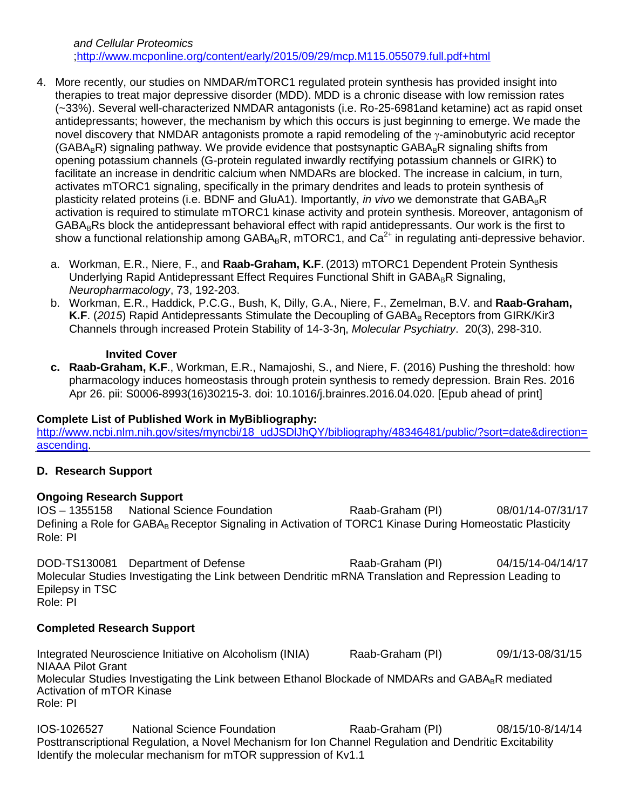- 4. More recently, our studies on NMDAR/mTORC1 regulated protein synthesis has provided insight into therapies to treat major depressive disorder (MDD). MDD is a chronic disease with low remission rates (~33%). Several well-characterized NMDAR antagonists (i.e. Ro-25-6981and ketamine) act as rapid onset antidepressants; however, the mechanism by which this occurs is just beginning to emerge. We made the novel discovery that NMDAR antagonists promote a rapid remodeling of the  $\gamma$ -aminobutyric acid receptor  $(GABA_RR)$  signaling pathway. We provide evidence that postsynaptic  $GABA_RR$  signaling shifts from opening potassium channels (G-protein regulated inwardly rectifying potassium channels or GIRK) to facilitate an increase in dendritic calcium when NMDARs are blocked. The increase in calcium, in turn, activates mTORC1 signaling, specifically in the primary dendrites and leads to protein synthesis of plasticity related proteins (i.e. BDNF and GluA1). Importantly, *in vivo* we demonstrate that GABA<sub>B</sub>R activation is required to stimulate mTORC1 kinase activity and protein synthesis. Moreover, antagonism of GABA<sub>B</sub>Rs block the antidepressant behavioral effect with rapid antidepressants. Our work is the first to show a functional relationship among  $GABA_BR$ , mTORC1, and  $Ca^{2+}$  in regulating anti-depressive behavior.
	- a. Workman, E.R., Niere, F., and **Raab-Graham, K.F**. (2013) mTORC1 Dependent Protein Synthesis Underlying Rapid Antidepressant Effect Requires Functional Shift in  $GABA_BR$  Signaling, *Neuropharmacology*, 73, 192-203.
	- b. Workman, E.R., Haddick, P.C.G., Bush, K, Dilly, G.A., Niere, F., Zemelman, B.V. and **Raab-Graham,**  K.F. (2015) Rapid Antidepressants Stimulate the Decoupling of GABA<sub>B</sub> Receptors from GIRK/Kir3 Channels through increased Protein Stability of 14-3-3η, *Molecular Psychiatry*. 20(3), 298-310.

#### **Invited Cover**

**c. Raab-Graham, K.F**., Workman, E.R., Namajoshi, S., and Niere, F. (2016) Pushing the threshold: how pharmacology induces homeostasis through protein synthesis to remedy depression. Brain Res. 2016 Apr 26. pii: S0006-8993(16)30215-3. doi: 10.1016/j.brainres.2016.04.020. [Epub ahead of print]

# **Complete List of Published Work in MyBibliography:**

http://www.ncbi.nlm.nih.gov/sites/myncbi/18\_udJSDIJhQY/bibliography/48346481/public/?sort=date&direction= [ascending.](http://www.ncbi.nlm.nih.gov/sites/myncbi/18_udJSDlJhQY/bibliography/48346481/public/?sort=date&direction=ascending)

# **D. Research Support**

# **Ongoing Research Support**

IOS – 1355158 National Science Foundation Raab-Graham (PI) 08/01/14-07/31/17 Defining a Role for GABAR Receptor Signaling in Activation of TORC1 Kinase During Homeostatic Plasticity Role: PI

DOD-TS130081 Department of Defense Raab-Graham (PI) 04/15/14-04/14/17 Molecular Studies Investigating the Link between Dendritic mRNA Translation and Repression Leading to Epilepsy in TSC Role: PI

# **Completed Research Support**

Integrated Neuroscience Initiative on Alcoholism (INIA) Raab-Graham (PI) 09/1/13-08/31/15 NIAAA Pilot Grant Molecular Studies Investigating the Link between Ethanol Blockade of NMDARs and GABA<sub>B</sub>R mediated Activation of mTOR Kinase Role: PI

IOS-1026527 National Science Foundation Raab-Graham (PI) 08/15/10-8/14/14 Posttranscriptional Regulation, a Novel Mechanism for Ion Channel Regulation and Dendritic Excitability Identify the molecular mechanism for mTOR suppression of Kv1.1